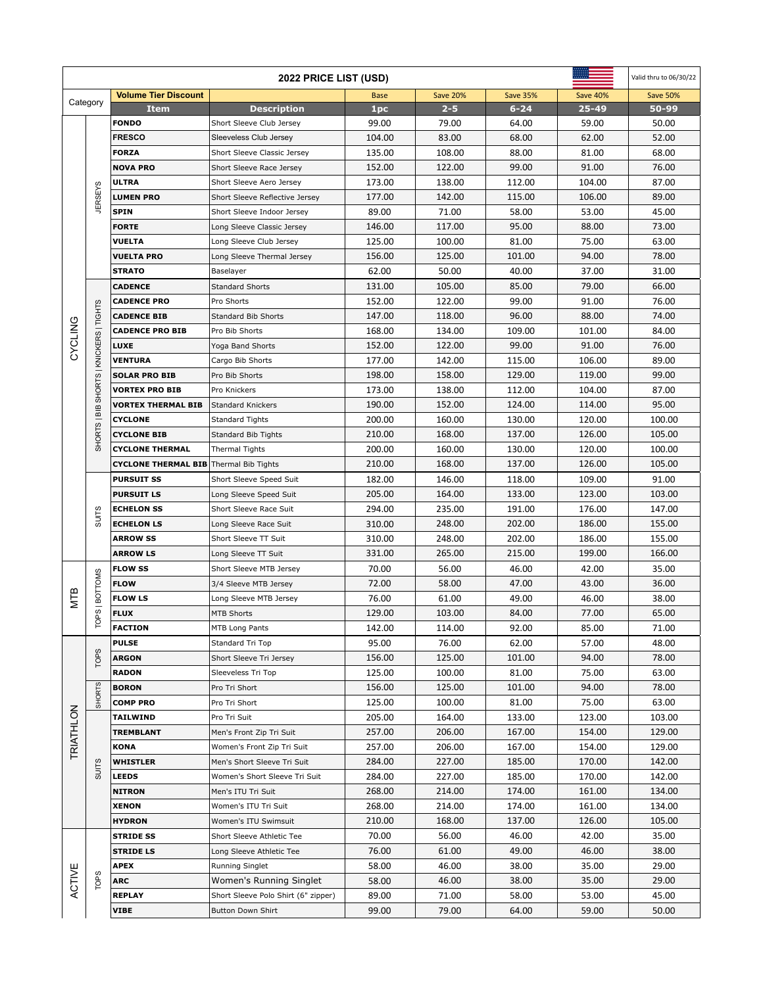| <b>2022 PRICE LIST (USD)</b> |                                         |                                        |                                                  |                  |                  |                  |                  | Valid thru to 06/30/22 |
|------------------------------|-----------------------------------------|----------------------------------------|--------------------------------------------------|------------------|------------------|------------------|------------------|------------------------|
| Category                     |                                         | <b>Volume Tier Discount</b>            |                                                  | <b>Base</b>      | <b>Save 20%</b>  | <b>Save 35%</b>  | <b>Save 40%</b>  | <b>Save 50%</b>        |
|                              |                                         | <b>Item</b>                            | <b>Description</b>                               | 1pc              | $2 - 5$          | $6 - 24$         | 25-49            | 50-99                  |
|                              |                                         | <b>FONDO</b>                           | Short Sleeve Club Jersey                         | 99.00            | 79.00            | 64.00            | 59.00            | 50.00                  |
|                              |                                         | <b>FRESCO</b>                          | Sleeveless Club Jersey                           | 104.00           | 83.00            | 68.00            | 62.00            | 52.00                  |
|                              |                                         | <b>FORZA</b>                           | Short Sleeve Classic Jersey                      | 135.00           | 108.00           | 88.00            | 81.00            | 68.00                  |
|                              |                                         | <b>NOVA PRO</b>                        | Short Sleeve Race Jersey                         | 152.00           | 122.00           | 99.00            | 91.00            | 76.00                  |
|                              |                                         | <b>ULTRA</b>                           | Short Sleeve Aero Jersey                         | 173.00           | 138.00           | 112.00           | 104.00           | 87.00                  |
|                              | <b>JERSEYS</b>                          | <b>LUMEN PRO</b>                       | Short Sleeve Reflective Jersey                   | 177.00           | 142.00           | 115.00           | 106.00           | 89.00                  |
|                              |                                         | <b>SPIN</b>                            | Short Sleeve Indoor Jersey                       | 89.00            | 71.00            | 58.00            | 53.00            | 45.00                  |
|                              |                                         | <b>FORTE</b>                           | Long Sleeve Classic Jersey                       | 146.00           | 117.00           | 95.00            | 88.00            | 73.00                  |
|                              |                                         | <b>VUELTA</b>                          | Long Sleeve Club Jersey                          | 125.00           | 100.00           | 81.00            | 75.00            | 63.00                  |
|                              |                                         | <b>VUELTA PRO</b>                      | Long Sleeve Thermal Jersey                       | 156.00           | 125.00           | 101.00           | 94.00            | 78.00                  |
|                              |                                         | <b>STRATO</b>                          | Baselayer                                        | 62.00            | 50.00            | 40.00            | 37.00            | 31.00                  |
|                              |                                         | <b>CADENCE</b>                         | <b>Standard Shorts</b>                           | 131.00           | 105.00           | 85.00            | 79.00            | 66.00                  |
|                              |                                         | <b>CADENCE PRO</b>                     | Pro Shorts                                       | 152.00           | 122.00           | 99.00            | 91.00            | 76.00                  |
|                              |                                         | <b>CADENCE BIB</b>                     | <b>Standard Bib Shorts</b>                       | 147.00           | 118.00           | 96.00            | 88.00            | 74.00                  |
| CYCLING                      |                                         | <b>CADENCE PRO BIB</b>                 | Pro Bib Shorts                                   | 168.00           | 134.00           | 109.00           | 101.00           | 84.00                  |
|                              |                                         | LUXE                                   | Yoga Band Shorts                                 | 152.00           | 122.00           | 99.00            | 91.00            | 76.00                  |
|                              |                                         | <b>VENTURA</b>                         | Cargo Bib Shorts                                 | 177.00           | 142.00           | 115.00           | 106.00           | 89.00                  |
|                              |                                         | <b>SOLAR PRO BIB</b>                   | Pro Bib Shorts                                   | 198.00           | 158.00           | 129.00           | 119.00           | 99.00                  |
|                              |                                         | <b>VORTEX PRO BIB</b>                  | Pro Knickers                                     | 173.00           | 138.00           | 112.00           | 104.00           | 87.00                  |
|                              |                                         | <b>VORTEX THERMAL BIB</b>              | Standard Knickers                                | 190.00           | 152.00           | 124.00           | 114.00           | 95.00                  |
|                              |                                         | <b>CYCLONE</b>                         | <b>Standard Tights</b>                           | 200.00           | 160.00           | 130.00           | 120.00           | 100.00                 |
|                              | SHORTS   BIB SHORTS   KNICKERS   TIGHTS | <b>CYCLONE BIB</b>                     | Standard Bib Tights                              | 210.00           | 168.00           | 137.00           | 126.00           | 105.00                 |
|                              |                                         | <b>CYCLONE THERMAL</b>                 | Thermal Tights                                   | 200.00           | 160.00           | 130.00           | 120.00           | 100.00                 |
|                              | <b>SUITS</b>                            | <b>CYCLONE THERMAL BIB</b>             | Thermal Bib Tights                               | 210.00           | 168.00           | 137.00           | 126.00           | 105.00                 |
|                              |                                         | <b>PURSUIT SS</b>                      | Short Sleeve Speed Suit                          | 182.00<br>205.00 | 146.00<br>164.00 | 118.00<br>133.00 | 109.00           | 91.00<br>103.00        |
|                              |                                         | <b>PURSUIT LS</b><br><b>ECHELON SS</b> | Long Sleeve Speed Suit<br>Short Sleeve Race Suit | 294.00           | 235.00           | 191.00           | 123.00<br>176.00 | 147.00                 |
|                              |                                         | <b>ECHELON LS</b>                      | Long Sleeve Race Suit                            | 310.00           | 248.00           | 202.00           | 186.00           | 155.00                 |
|                              |                                         | <b>ARROW SS</b>                        | Short Sleeve TT Suit                             | 310.00           | 248.00           | 202.00           | 186.00           | 155.00                 |
|                              |                                         | <b>ARROW LS</b>                        | Long Sleeve TT Suit                              | 331.00           | 265.00           | 215.00           | 199.00           | 166.00                 |
|                              |                                         | <b>FLOW SS</b>                         | Short Sleeve MTB Jersey                          | 70.00            | 56.00            | 46.00            | 42.00            | 35.00                  |
|                              |                                         | <b>FLOW</b>                            | 3/4 Sleeve MTB Jersey                            | 72.00            | 58.00            | 47.00            | 43.00            | 36.00                  |
| <b>NTB</b>                   |                                         | <b>FLOW LS</b>                         | Long Sleeve MTB Jersey                           | 76.00            | 61.00            | 49.00            | 46.00            | 38.00                  |
|                              | TOPS   BOTTOMS                          | <b>FLUX</b>                            | <b>MTB Shorts</b>                                | 129.00           | 103.00           | 84.00            | 77.00            | 65.00                  |
|                              |                                         | <b>FACTION</b>                         | MTB Long Pants                                   | 142.00           | 114.00           | 92.00            | 85.00            | 71.00                  |
|                              |                                         | <b>PULSE</b>                           | Standard Tri Top                                 | 95.00            | 76.00            | 62.00            | 57.00            | 48.00                  |
|                              | <b>TOPS</b>                             | <b>ARGON</b>                           | Short Sleeve Tri Jersey                          | 156.00           | 125.00           | 101.00           | 94.00            | 78.00                  |
|                              |                                         | <b>RADON</b>                           | Sleeveless Tri Top                               | 125.00           | 100.00           | 81.00            | 75.00            | 63.00                  |
|                              |                                         | <b>BORON</b>                           | Pro Tri Short                                    | 156.00           | 125.00           | 101.00           | 94.00            | 78.00                  |
|                              | <b>SHORTS</b>                           | <b>COMP PRO</b>                        | Pro Tri Short                                    | 125.00           | 100.00           | 81.00            | 75.00            | 63.00                  |
| TRIATHLON                    |                                         | <b>TAILWIND</b>                        | Pro Tri Suit                                     | 205.00           | 164.00           | 133.00           | 123.00           | 103.00                 |
|                              |                                         | <b>TREMBLANT</b>                       | Men's Front Zip Tri Suit                         | 257.00           | 206.00           | 167.00           | 154.00           | 129.00                 |
|                              |                                         | <b>KONA</b>                            | Women's Front Zip Tri Suit                       | 257.00           | 206.00           | 167.00           | 154.00           | 129.00                 |
|                              |                                         | <b>WHISTLER</b>                        | Men's Short Sleeve Tri Suit                      | 284.00           | 227.00           | 185.00           | 170.00           | 142.00                 |
|                              | <b>SUITS</b>                            | <b>LEEDS</b>                           | Women's Short Sleeve Tri Suit                    | 284.00           | 227.00           | 185.00           | 170.00           | 142.00                 |
|                              |                                         | <b>NITRON</b>                          | Men's ITU Tri Suit                               | 268.00           | 214.00           | 174.00           | 161.00           | 134.00                 |
|                              |                                         | <b>XENON</b>                           | Women's ITU Tri Suit                             | 268.00           | 214.00           | 174.00           | 161.00           | 134.00                 |
|                              |                                         | HYDRON                                 | Women's ITU Swimsuit                             | 210.00           | 168.00           | 137.00           | 126.00           | 105.00                 |
|                              |                                         | <b>STRIDE SS</b>                       | Short Sleeve Athletic Tee                        | 70.00            | 56.00            | 46.00            | 42.00            | 35.00                  |
|                              |                                         | <b>STRIDE LS</b>                       | Long Sleeve Athletic Tee                         | 76.00            | 61.00            | 49.00            | 46.00            | 38.00                  |
|                              |                                         | <b>APEX</b>                            | Running Singlet                                  | 58.00            | 46.00            | 38.00            | 35.00            | 29.00                  |
| ACTIVE                       | <b>TOPS</b>                             | <b>ARC</b>                             | Women's Running Singlet                          | 58.00            | 46.00            | 38.00            | 35.00            | 29.00                  |
|                              |                                         | <b>REPLAY</b>                          | Short Sleeve Polo Shirt (6" zipper)              | 89.00            | 71.00            | 58.00            | 53.00            | 45.00                  |
|                              |                                         | VIBE                                   | <b>Button Down Shirt</b>                         | 99.00            | 79.00            | 64.00            | 59.00            | 50.00                  |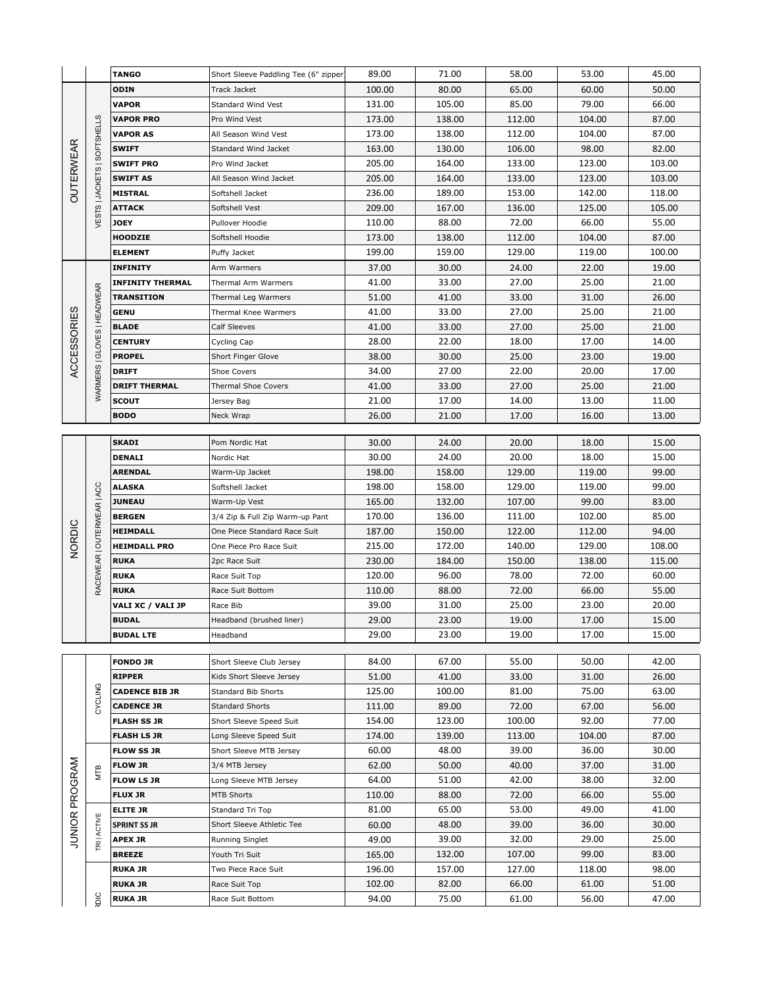|                       |                              | <b>TANGO</b>                          | Short Sleeve Paddling Tee (6" zipper         | 89.00           | 71.00          | 58.00           | 53.00           | 45.00          |
|-----------------------|------------------------------|---------------------------------------|----------------------------------------------|-----------------|----------------|-----------------|-----------------|----------------|
| <b>OUTERWEAR</b>      |                              | ODIN                                  | Track Jacket                                 | 100.00          | 80.00          | 65.00           | 60.00           | 50.00          |
|                       |                              | <b>VAPOR</b>                          | Standard Wind Vest                           | 131.00          | 105.00         | 85.00           | 79.00           | 66.00          |
|                       |                              | <b>VAPOR PRO</b>                      | Pro Wind Vest                                | 173.00          | 138.00         | 112.00          | 104.00          | 87.00          |
|                       | VESTS   JACKETS   SOFTSHELLS | <b>VAPOR AS</b>                       | All Season Wind Vest                         | 173.00          | 138.00         | 112.00          | 104.00          | 87.00          |
|                       |                              | <b>SWIFT</b>                          | Standard Wind Jacket                         | 163.00          | 130.00         | 106.00          | 98.00           | 82.00          |
|                       |                              | <b>SWIFT PRO</b>                      | Pro Wind Jacket                              | 205.00          | 164.00         | 133.00          | 123.00          | 103.00         |
|                       |                              | <b>SWIFT AS</b>                       | All Season Wind Jacket                       | 205.00          | 164.00         | 133.00          | 123.00          | 103.00         |
|                       |                              | <b>MISTRAL</b>                        | Softshell Jacket                             | 236.00          | 189.00         | 153.00          | 142.00          | 118.00         |
|                       |                              | ATTACK                                | Softshell Vest                               | 209.00          | 167.00         | 136.00          | 125.00          | 105.00         |
|                       |                              | JOEY                                  | Pullover Hoodie                              | 110.00          | 88.00          | 72.00           | 66.00           | 55.00          |
|                       |                              | <b>HOODZIE</b>                        | Softshell Hoodie                             | 173.00          | 138.00         | 112.00          | 104.00          | 87.00          |
|                       |                              | <b>ELEMENT</b>                        | Puffy Jacket                                 | 199.00          | 159.00         | 129.00          | 119.00          | 100.00         |
|                       |                              | <b>INFINITY</b>                       | Arm Warmers                                  | 37.00           | 30.00          | 24.00           | 22.00           | 19.00          |
|                       |                              | <b>INFINITY THERMAL</b>               | Thermal Arm Warmers                          | 41.00           | 33.00          | 27.00           | 25.00           | 21.00          |
|                       |                              | TRANSITION                            | Thermal Leg Warmers                          | 51.00           | 41.00          | 33.00           | 31.00           | 26.00          |
|                       |                              | GENU                                  | Thermal Knee Warmers                         | 41.00           | 33.00          | 27.00           | 25.00           | 21.00          |
|                       |                              | <b>BLADE</b>                          | Calf Sleeves                                 | 41.00           | 33.00          | 27.00           | 25.00           | 21.00          |
|                       |                              | <b>CENTURY</b>                        | Cycling Cap                                  | 28.00           | 22.00          | 18.00           | 17.00           | 14.00          |
| <b>ACCESSORIES</b>    | WARMERS   GLOVES   HEADWEAR  | <b>PROPEL</b>                         | Short Finger Glove                           | 38.00           | 30.00          | 25.00           | 23.00           | 19.00          |
|                       |                              | <b>DRIFT</b>                          | Shoe Covers                                  | 34.00           | 27.00          | 22.00           | 20.00           | 17.00          |
|                       |                              | <b>DRIFT THERMAL</b>                  | Thermal Shoe Covers                          | 41.00           | 33.00          | 27.00           | 25.00           | 21.00          |
|                       |                              | SCOUT                                 | Jersey Bag                                   | 21.00           | 17.00          | 14.00           | 13.00           | 11.00          |
|                       |                              | BODO                                  | Neck Wrap                                    | 26.00           | 21.00          | 17.00           | 16.00           | 13.00          |
|                       |                              |                                       |                                              |                 |                |                 |                 |                |
|                       |                              | <b>SKADI</b>                          | Pom Nordic Hat                               | 30.00           | 24.00<br>24.00 | 20.00           | 18.00           | 15.00          |
|                       | RACEWEAR   OUTERWEAR   ACC   | DENALI<br><b>ARENDAL</b>              | Nordic Hat<br>Warm-Up Jacket                 | 30.00<br>198.00 | 158.00         | 20.00<br>129.00 | 18.00<br>119.00 | 15.00<br>99.00 |
|                       |                              | <b>ALASKA</b>                         | Softshell Jacket                             | 198.00          | 158.00         | 129.00          | 119.00          | 99.00          |
|                       |                              | <b>JUNEAU</b>                         | Warm-Up Vest                                 | 165.00          | 132.00         | 107.00          | 99.00           | 83.00          |
|                       |                              | <b>BERGEN</b>                         | 3/4 Zip & Full Zip Warm-up Pant              | 170.00          | 136.00         | 111.00          | 102.00          | 85.00          |
|                       |                              | <b>HEIMDALL</b>                       | One Piece Standard Race Suit                 | 187.00          | 150.00         | 122.00          | 112.00          | 94.00          |
| <b>NORDIC</b>         |                              | <b>HEIMDALL PRO</b>                   | One Piece Pro Race Suit                      | 215.00          | 172.00         | 140.00          | 129.00          | 108.00         |
|                       |                              | <b>RUKA</b>                           | 2pc Race Suit                                | 230.00          | 184.00         | 150.00          | 138.00          | 115.00         |
|                       |                              | <b>RUKA</b>                           | Race Suit Top                                | 120.00          | 96.00          | 78.00           | 72.00           | 60.00          |
|                       |                              | <b>RUKA</b>                           | Race Suit Bottom                             | 110.00          | 88.00          | 72.00           | 66.00           | 55.00          |
|                       |                              | VALI XC / VALI JP                     | Race Bib                                     | 39.00           | 31.00          | 25.00           | 23.00           | 20.00          |
|                       |                              | <b>BUDAL</b>                          | Headband (brushed liner)                     | 29.00           | 23.00          | 19.00           | 17.00           | 15.00          |
|                       |                              | <b>BUDAL LTE</b>                      | Headband                                     | 29.00           | 23.00          | 19.00           | 17.00           | 15.00          |
|                       |                              |                                       |                                              |                 |                |                 |                 |                |
|                       |                              | <b>FONDO JR</b>                       | Short Sleeve Club Jersey                     | 84.00           | 67.00          | 55.00           | 50.00           | 42.00          |
|                       |                              | <b>RIPPER</b>                         | Kids Short Sleeve Jersey                     | 51.00           | 41.00          | 33.00           | 31.00           | 26.00          |
|                       | CYCLING                      | <b>CADENCE BIB JR</b>                 | Standard Bib Shorts                          | 125.00          | 100.00         | 81.00           | 75.00           | 63.00          |
|                       |                              | <b>CADENCE JR</b>                     | <b>Standard Shorts</b>                       | 111.00          | 89.00          | 72.00           | 67.00           | 56.00          |
|                       |                              | <b>FLASH SS JR</b>                    | Short Sleeve Speed Suit                      | 154.00          | 123.00         | 100.00          | 92.00           | 77.00          |
|                       |                              | <b>FLASH LS JR</b>                    | Long Sleeve Speed Suit                       | 174.00          | 139.00         | 113.00          | 104.00          | 87.00          |
|                       |                              | <b>FLOW SS JR</b>                     | Short Sleeve MTB Jersey                      | 60.00           | 48.00          | 39.00           | 36.00           | 30.00          |
| <b>JUNIOR PROGRAM</b> | MТВ                          | <b>FLOW JR</b>                        | 3/4 MTB Jersey                               | 62.00           | 50.00          | 40.00           | 37.00           | 31.00          |
|                       |                              | <b>FLOW LS JR</b>                     | Long Sleeve MTB Jersey                       | 64.00           | 51.00          | 42.00           | 38.00           | 32.00          |
|                       |                              | <b>FLUX JR</b>                        | <b>MTB Shorts</b>                            | 110.00          | 88.00          | 72.00           | 66.00           | 55.00          |
|                       |                              | <b>ELITE JR</b>                       | Standard Tri Top                             | 81.00           | 65.00          | 53.00           | 49.00           | 41.00<br>30.00 |
|                       | <b>TRI ACTIVE</b>            | <b>SPRINT SS JR</b><br><b>APEX JR</b> | Short Sleeve Athletic Tee<br>Running Singlet | 60.00           | 48.00<br>39.00 | 39.00<br>32.00  | 36.00<br>29.00  | 25.00          |
|                       |                              | <b>BREEZE</b>                         | Youth Tri Suit                               | 49.00<br>165.00 | 132.00         | 107.00          | 99.00           | 83.00          |
|                       |                              | <b>RUKA JR</b>                        | Two Piece Race Suit                          | 196.00          | 157.00         | 127.00          | 118.00          | 98.00          |
|                       |                              | <b>RUKA JR</b>                        | Race Suit Top                                | 102.00          | 82.00          | 66.00           | 61.00           | 51.00          |
|                       | SIO                          | <b>RUKA JR</b>                        | Race Suit Bottom                             | 94.00           | 75.00          | 61.00           | 56.00           | 47.00          |
|                       |                              |                                       |                                              |                 |                |                 |                 |                |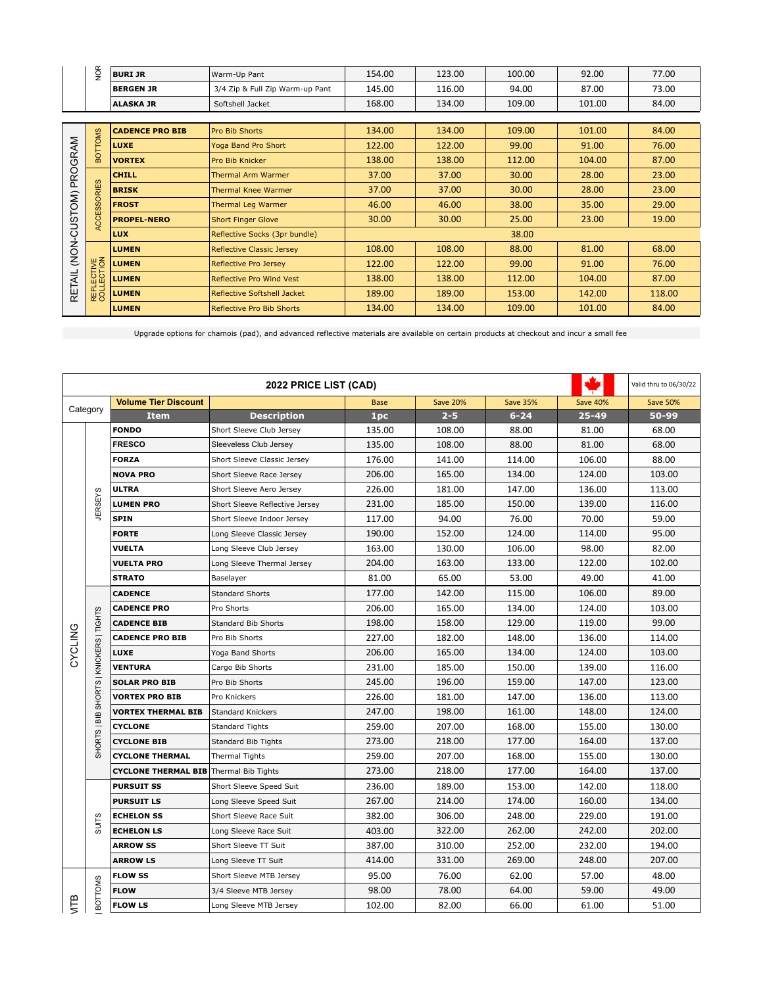|              | <b>NOR</b>               | <b>BURI JR</b>         | Warm-Up Pant                     | 154.00 | 123.00 | 100.00 | 92.00  | 77.00  |
|--------------|--------------------------|------------------------|----------------------------------|--------|--------|--------|--------|--------|
|              |                          | <b>BERGEN JR</b>       | 3/4 Zip & Full Zip Warm-up Pant  | 145.00 | 116.00 | 94.00  | 87.00  | 73.00  |
|              |                          | <b>ALASKA JR</b>       | Softshell Jacket                 | 168.00 | 134.00 | 109.00 | 101.00 | 84.00  |
|              |                          |                        |                                  |        |        |        |        |        |
|              | <b>BOTTOMS</b>           | <b>CADENCE PRO BIB</b> | Pro Bib Shorts                   | 134.00 | 134.00 | 109.00 | 101.00 | 84.00  |
|              |                          | <b>LUXE</b>            | Yoga Band Pro Short              | 122.00 | 122.00 | 99.00  | 91.00  | 76.00  |
|              |                          | <b>VORTEX</b>          | Pro Bib Knicker                  | 138.00 | 138.00 | 112.00 | 104.00 | 87.00  |
| PROGRAM      | <b>ACCESSORIES</b>       | <b>CHILL</b>           | Thermal Arm Warmer               | 37.00  | 37.00  | 30.00  | 28.00  | 23.00  |
|              |                          | <b>BRISK</b>           | Thermal Knee Warmer              | 37.00  | 37.00  | 30.00  | 28.00  | 23.00  |
| (NON-CUSTOM) |                          | <b>FROST</b>           | Thermal Leg Warmer               | 46.00  | 46.00  | 38.00  | 35.00  | 29.00  |
|              |                          | <b>PROPEL-NERO</b>     | <b>Short Finger Glove</b>        | 30.00  | 30.00  | 25.00  | 23.00  | 19.00  |
|              |                          | <b>LUX</b>             | Reflective Socks (3pr bundle)    |        |        | 38.00  |        |        |
|              |                          | <b>LUMEN</b>           | <b>Reflective Classic Jersey</b> | 108.00 | 108.00 | 88.00  | 81.00  | 68.00  |
| RETAIL       |                          | <b>LUMEN</b>           | Reflective Pro Jersey            | 122.00 | 122.00 | 99.00  | 91.00  | 76.00  |
|              |                          | <b>LUMEN</b>           | Reflective Pro Wind Vest         | 138.00 | 138.00 | 112.00 | 104.00 | 87.00  |
|              | REFLECTIVE<br>COLLECTION | <b>LUMEN</b>           | Reflective Softshell Jacket      | 189.00 | 189.00 | 153.00 | 142.00 | 118.00 |
|              |                          | <b>LUMEN</b>           | Reflective Pro Bib Shorts        | 134.00 | 134.00 | 109.00 | 101.00 | 84.00  |

Upgrade options for chamois (pad), and advanced reflective materials are available on certain products at checkout and incur a small fee

| 2022 PRICE LIST (CAD) |                                         |                             |                                |             |                 |                 |                 | Valid thru to 06/30/22 |
|-----------------------|-----------------------------------------|-----------------------------|--------------------------------|-------------|-----------------|-----------------|-----------------|------------------------|
|                       |                                         | <b>Volume Tier Discount</b> |                                | <b>Base</b> | <b>Save 20%</b> | <b>Save 35%</b> | <b>Save 40%</b> | <b>Save 50%</b>        |
|                       | Category                                | <b>Item</b>                 | <b>Description</b>             | 1pc         | $2 - 5$         | $6 - 24$        | $25 - 49$       | 50-99                  |
|                       |                                         | <b>FONDO</b>                | Short Sleeve Club Jersey       | 135.00      | 108.00          | 88.00           | 81.00           | 68.00                  |
|                       |                                         | <b>FRESCO</b>               | Sleeveless Club Jersey         | 135.00      | 108.00          | 88.00           | 81.00           | 68.00                  |
|                       |                                         | <b>FORZA</b>                | Short Sleeve Classic Jersey    | 176.00      | 141.00          | 114.00          | 106.00          | 88.00                  |
|                       |                                         | <b>NOVA PRO</b>             | Short Sleeve Race Jersey       | 206.00      | 165.00          | 134.00          | 124.00          | 103.00                 |
|                       |                                         | <b>ULTRA</b>                | Short Sleeve Aero Jersey       | 226.00      | 181.00          | 147.00          | 136.00          | 113.00                 |
|                       | <b>JERSEYS</b>                          | <b>LUMEN PRO</b>            | Short Sleeve Reflective Jersey | 231.00      | 185.00          | 150.00          | 139.00          | 116.00                 |
|                       |                                         | <b>SPIN</b>                 | Short Sleeve Indoor Jersey     | 117.00      | 94.00           | 76.00           | 70.00           | 59.00                  |
|                       |                                         | <b>FORTE</b>                | Long Sleeve Classic Jersey     | 190.00      | 152.00          | 124.00          | 114.00          | 95.00                  |
|                       |                                         | <b>VUELTA</b>               | Long Sleeve Club Jersey        | 163.00      | 130.00          | 106.00          | 98.00           | 82.00                  |
|                       |                                         | <b>VUELTA PRO</b>           | Long Sleeve Thermal Jersey     | 204.00      | 163.00          | 133.00          | 122.00          | 102.00                 |
|                       |                                         | <b>STRATO</b>               | Baselayer                      | 81.00       | 65.00           | 53.00           | 49.00           | 41.00                  |
|                       |                                         | <b>CADENCE</b>              | <b>Standard Shorts</b>         | 177.00      | 142.00          | 115.00          | 106.00          | 89.00                  |
|                       |                                         | <b>CADENCE PRO</b>          | Pro Shorts                     | 206.00      | 165.00          | 134.00          | 124.00          | 103.00                 |
|                       |                                         | <b>CADENCE BIB</b>          | <b>Standard Bib Shorts</b>     | 198.00      | 158.00          | 129.00          | 119.00          | 99.00                  |
| <b>CYCLING</b>        | SHORTS   BIB SHORTS   KNICKERS   TIGHTS | <b>CADENCE PRO BIB</b>      | Pro Bib Shorts                 | 227.00      | 182.00          | 148.00          | 136.00          | 114.00                 |
|                       |                                         | <b>LUXE</b>                 | Yoga Band Shorts               | 206.00      | 165.00          | 134.00          | 124.00          | 103.00                 |
|                       |                                         | <b>VENTURA</b>              | Cargo Bib Shorts               | 231.00      | 185.00          | 150.00          | 139.00          | 116.00                 |
|                       |                                         | <b>SOLAR PRO BIB</b>        | Pro Bib Shorts                 | 245.00      | 196.00          | 159.00          | 147.00          | 123.00                 |
|                       |                                         | <b>VORTEX PRO BIB</b>       | Pro Knickers                   | 226.00      | 181.00          | 147.00          | 136.00          | 113.00                 |
|                       |                                         | <b>VORTEX THERMAL BIB</b>   | <b>Standard Knickers</b>       | 247.00      | 198.00          | 161.00          | 148.00          | 124.00                 |
|                       |                                         | <b>CYCLONE</b>              | <b>Standard Tights</b>         | 259.00      | 207.00          | 168.00          | 155.00          | 130.00                 |
|                       |                                         | <b>CYCLONE BIB</b>          | Standard Bib Tights            | 273.00      | 218.00          | 177.00          | 164.00          | 137.00                 |
|                       |                                         | <b>CYCLONE THERMAL</b>      | <b>Thermal Tights</b>          | 259.00      | 207.00          | 168.00          | 155.00          | 130.00                 |
|                       |                                         | <b>CYCLONE THERMAL BIB</b>  | Thermal Bib Tights             | 273.00      | 218.00          | 177.00          | 164.00          | 137.00                 |
|                       |                                         | <b>PURSUIT SS</b>           | Short Sleeve Speed Suit        | 236.00      | 189.00          | 153.00          | 142.00          | 118.00                 |
|                       |                                         | <b>PURSUIT LS</b>           | Long Sleeve Speed Suit         | 267.00      | 214.00          | 174.00          | 160.00          | 134.00                 |
|                       | <b>SUITS</b>                            | <b>ECHELON SS</b>           | Short Sleeve Race Suit         | 382.00      | 306.00          | 248.00          | 229.00          | 191.00                 |
|                       |                                         | <b>ECHELON LS</b>           | Long Sleeve Race Suit          | 403.00      | 322.00          | 262.00          | 242.00          | 202.00                 |
|                       |                                         | <b>ARROW SS</b>             | Short Sleeve TT Suit           | 387.00      | 310.00          | 252.00          | 232.00          | 194.00                 |
|                       |                                         | <b>ARROW LS</b>             | Long Sleeve TT Suit            | 414.00      | 331.00          | 269.00          | 248.00          | 207.00                 |
|                       |                                         | <b>FLOW SS</b>              | Short Sleeve MTB Jersey        | 95.00       | 76.00           | 62.00           | 57.00           | 48.00                  |
|                       | BOTTOMS                                 | <b>FLOW</b>                 | 3/4 Sleeve MTB Jersey          | 98.00       | 78.00           | 64.00           | 59.00           | 49.00                  |
| ഇ                     |                                         | <b>FLOW LS</b>              | Long Sleeve MTB Jersey         | 102.00      | 82.00           | 66.00           | 61.00           | 51.00                  |
|                       |                                         |                             |                                |             |                 |                 |                 |                        |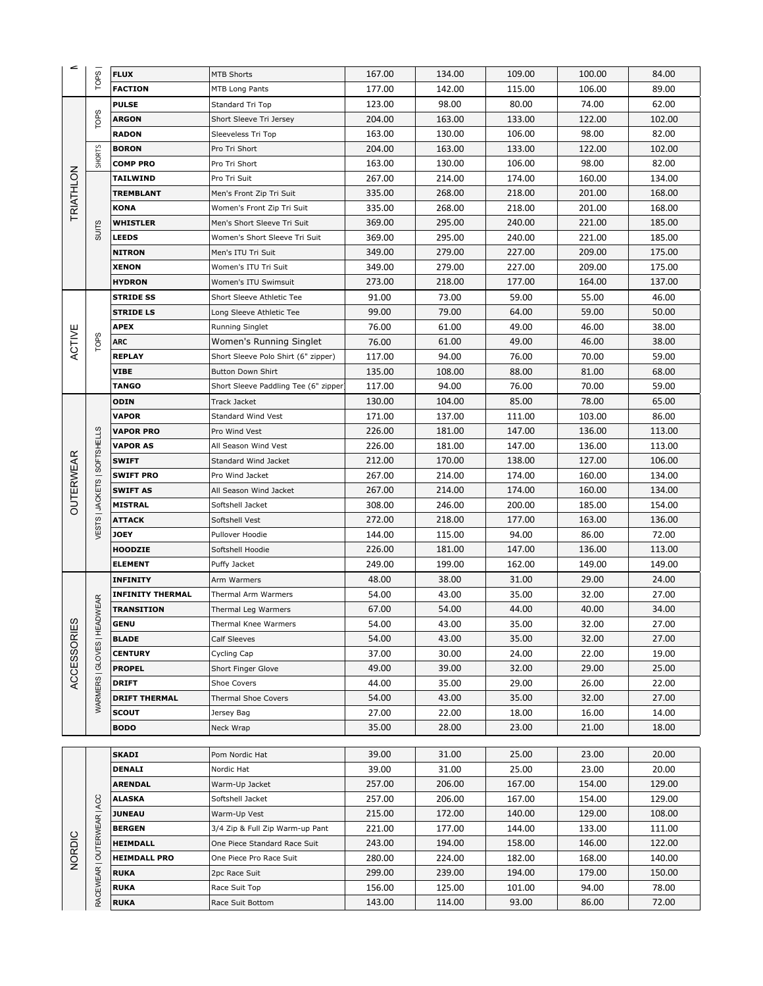| ⋍                  |                              | <b>FLUX</b>                         | <b>MTB Shorts</b>                               | 167.00           | 134.00           | 109.00           | 100.00           | 84.00            |
|--------------------|------------------------------|-------------------------------------|-------------------------------------------------|------------------|------------------|------------------|------------------|------------------|
|                    | TOPS <sup>I</sup>            | <b>FACTION</b>                      | MTB Long Pants                                  | 177.00           | 142.00           | 115.00           | 106.00           | 89.00            |
|                    |                              | <b>PULSE</b>                        | Standard Tri Top                                | 123.00           | 98.00            | 80.00            | 74.00            | 62.00            |
|                    | <b>TOPS</b>                  | <b>ARGON</b>                        | Short Sleeve Tri Jersey                         | 204.00           | 163.00           | 133.00           | 122.00           | 102.00           |
|                    |                              | <b>RADON</b>                        | Sleeveless Tri Top                              | 163.00           | 130.00           | 106.00           | 98.00            | 82.00            |
|                    |                              | <b>BORON</b>                        | Pro Tri Short                                   | 204.00           | 163.00           | 133.00           | 122.00           | 102.00           |
|                    | <b>SHORTS</b>                | <b>COMP PRO</b>                     | Pro Tri Short                                   | 163.00           | 130.00           | 106.00           | 98.00            | 82.00            |
|                    |                              | <b>TAILWIND</b>                     | Pro Tri Suit                                    | 267.00           | 214.00           | 174.00           | 160.00           | 134.00           |
|                    |                              | <b>TREMBLANT</b>                    | Men's Front Zip Tri Suit                        | 335.00           | 268.00           | 218.00           | 201.00           | 168.00           |
| <b>TRIATHLON</b>   |                              | <b>KONA</b>                         | Women's Front Zip Tri Suit                      | 335.00           | 268.00           | 218.00           | 201.00           | 168.00           |
|                    |                              | <b>WHISTLER</b>                     | Men's Short Sleeve Tri Suit                     | 369.00           | 295.00           | 240.00           | 221.00           | 185.00           |
|                    | <b>SUITS</b>                 | <b>LEEDS</b>                        | Women's Short Sleeve Tri Suit                   | 369.00           | 295.00           | 240.00           | 221.00           | 185.00           |
|                    |                              | <b>NITRON</b>                       | Men's ITU Tri Suit                              | 349.00           | 279.00           | 227.00           | 209.00           | 175.00           |
|                    |                              | <b>XENON</b>                        | Women's ITU Tri Suit                            | 349.00           | 279.00           | 227.00           | 209.00           | 175.00           |
|                    |                              | <b>HYDRON</b>                       | Women's ITU Swimsuit                            | 273.00           | 218.00           | 177.00           | 164.00           | 137.00           |
|                    |                              | <b>STRIDE SS</b>                    | Short Sleeve Athletic Tee                       | 91.00            | 73.00            | 59.00            | 55.00            | 46.00            |
|                    |                              | <b>STRIDE LS</b>                    | Long Sleeve Athletic Tee                        | 99.00            | 79.00            | 64.00            | 59.00            | 50.00            |
|                    |                              | <b>APEX</b>                         | Running Singlet                                 | 76.00            | 61.00            | 49.00            | 46.00            | 38.00            |
| ACTIVE             | <b>TOPS</b>                  | <b>ARC</b>                          | Women's Running Singlet                         | 76.00            | 61.00            | 49.00            | 46.00            | 38.00            |
|                    |                              | <b>REPLAY</b>                       | Short Sleeve Polo Shirt (6" zipper)             | 117.00           | 94.00            | 76.00            | 70.00            | 59.00            |
|                    |                              | <b>VIBE</b>                         | <b>Button Down Shirt</b>                        | 135.00           | 108.00           | 88.00            | 81.00            | 68.00            |
|                    |                              | <b>TANGO</b>                        | Short Sleeve Paddling Tee (6" zipper            | 117.00           | 94.00            | 76.00            | 70.00            | 59.00            |
|                    |                              | <b>ODIN</b>                         | <b>Track Jacket</b>                             | 130.00           | 104.00           | 85.00            | 78.00            | 65.00            |
|                    |                              | <b>VAPOR</b>                        | <b>Standard Wind Vest</b>                       | 171.00           | 137.00           | 111.00           | 103.00           | 86.00            |
|                    |                              | <b>VAPOR PRO</b>                    | Pro Wind Vest                                   | 226.00           | 181.00           | 147.00           | 136.00           | 113.00           |
|                    | VESTS   JACKETS   SOFTSHELLS | <b>VAPOR AS</b>                     | All Season Wind Vest                            | 226.00           | 181.00           | 147.00           | 136.00           | 113.00           |
|                    |                              | <b>SWIFT</b>                        | Standard Wind Jacket                            | 212.00           | 170.00           | 138.00           | 127.00           | 106.00           |
|                    |                              | <b>SWIFT PRO</b><br><b>SWIFT AS</b> | Pro Wind Jacket<br>All Season Wind Jacket       | 267.00<br>267.00 | 214.00<br>214.00 | 174.00<br>174.00 | 160.00<br>160.00 | 134.00<br>134.00 |
| <b>OUTERWEAR</b>   |                              | <b>MISTRAL</b>                      | Softshell Jacket                                | 308.00           | 246.00           | 200.00           | 185.00           | 154.00           |
|                    |                              | <b>ATTACK</b>                       | Softshell Vest                                  | 272.00           | 218.00           | 177.00           | 163.00           | 136.00           |
|                    |                              | <b>JOEY</b>                         | Pullover Hoodie                                 | 144.00           | 115.00           | 94.00            | 86.00            | 72.00            |
|                    |                              | <b>HOODZIE</b>                      | Softshell Hoodie                                | 226.00           | 181.00           | 147.00           | 136.00           | 113.00           |
|                    |                              | <b>ELEMENT</b>                      | Puffy Jacket                                    | 249.00           | 199.00           | 162.00           | 149.00           | 149.00           |
|                    |                              | <b>INFINITY</b>                     | Arm Warmers                                     | 48.00            | 38.00            | 31.00            | 29.00            | 24.00            |
|                    |                              | <b>INFINITY THERMAL</b>             | Thermal Arm Warmers                             | 54.00            | 43.00            | 35.00            | 32.00            | 27.00            |
|                    | WARMERS   GLOVES   HEADWEAR  | <b>TRANSITION</b>                   | Thermal Leg Warmers                             | 67.00            | 54.00            | 44.00            | 40.00            | 34.00            |
|                    |                              | <b>GENU</b>                         | Thermal Knee Warmers                            | 54.00            | 43.00            | 35.00            | 32.00            | 27.00            |
| <b>ACCESSORIES</b> |                              | <b>BLADE</b>                        | Calf Sleeves                                    | 54.00            | 43.00            | 35.00            | 32.00            | 27.00            |
|                    |                              | <b>CENTURY</b>                      | Cycling Cap                                     | 37.00            | 30.00            | 24.00            | 22.00            | 19.00            |
|                    |                              | <b>PROPEL</b>                       | Short Finger Glove                              | 49.00            | 39.00            | 32.00            | 29.00            | 25.00            |
|                    |                              | <b>DRIFT</b>                        | <b>Shoe Covers</b>                              | 44.00            | 35.00            | 29.00            | 26.00            | 22.00            |
|                    |                              | <b>DRIFT THERMAL</b>                | Thermal Shoe Covers                             | 54.00            | 43.00            | 35.00            | 32.00            | 27.00            |
|                    |                              | <b>SCOUT</b>                        | Jersey Bag                                      | 27.00            | 22.00            | 18.00            | 16.00            | 14.00            |
|                    |                              | <b>BODO</b>                         | Neck Wrap                                       | 35.00            | 28.00            | 23.00            | 21.00            | 18.00            |
|                    |                              |                                     |                                                 |                  |                  |                  |                  |                  |
|                    |                              | <b>SKADI</b>                        | Pom Nordic Hat                                  | 39.00            | 31.00            | 25.00            | 23.00            | 20.00            |
|                    |                              | DENALI                              | Nordic Hat                                      | 39.00            | 31.00            | 25.00            | 23.00            | 20.00            |
|                    |                              | <b>ARENDAL</b>                      | Warm-Up Jacket                                  | 257.00           | 206.00           | 167.00           | 154.00           | 129.00           |
|                    | RACEWEAR   OUTERWEAR   ACC   | <b>ALASKA</b>                       | Softshell Jacket                                | 257.00           | 206.00           | 167.00           | 154.00           | 129.00           |
|                    |                              | <b>JUNEAU</b><br><b>BERGEN</b>      | Warm-Up Vest<br>3/4 Zip & Full Zip Warm-up Pant | 215.00<br>221.00 | 172.00<br>177.00 | 140.00<br>144.00 | 129.00<br>133.00 | 108.00<br>111.00 |
|                    |                              | <b>HEIMDALL</b>                     | One Piece Standard Race Suit                    | 243.00           | 194.00           | 158.00           | 146.00           | 122.00           |
| NORDIC             |                              | <b>HEIMDALL PRO</b>                 | One Piece Pro Race Suit                         | 280.00           | 224.00           | 182.00           | 168.00           | 140.00           |
|                    |                              | <b>RUKA</b>                         | 2pc Race Suit                                   | 299.00           | 239.00           | 194.00           | 179.00           | 150.00           |
|                    |                              | <b>RUKA</b>                         | Race Suit Top                                   | 156.00           | 125.00           | 101.00           | 94.00            | 78.00            |
|                    |                              | <b>RUKA</b>                         | Race Suit Bottom                                | 143.00           | 114.00           | 93.00            | 86.00            | 72.00            |